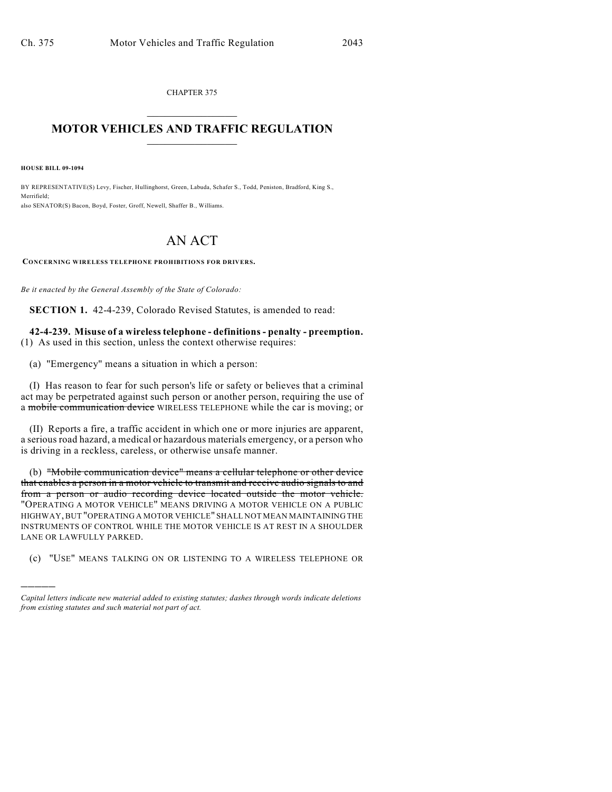CHAPTER 375  $\overline{\phantom{a}}$  . The set of the set of the set of the set of the set of the set of the set of the set of the set of the set of the set of the set of the set of the set of the set of the set of the set of the set of the set o

## **MOTOR VEHICLES AND TRAFFIC REGULATION**  $\frac{1}{2}$  ,  $\frac{1}{2}$  ,  $\frac{1}{2}$  ,  $\frac{1}{2}$  ,  $\frac{1}{2}$  ,  $\frac{1}{2}$  ,  $\frac{1}{2}$  ,  $\frac{1}{2}$

**HOUSE BILL 09-1094**

)))))

BY REPRESENTATIVE(S) Levy, Fischer, Hullinghorst, Green, Labuda, Schafer S., Todd, Peniston, Bradford, King S., Merrifield; also SENATOR(S) Bacon, Boyd, Foster, Groff, Newell, Shaffer B., Williams.

## AN ACT

**CONCERNING WIRELESS TELEPHONE PROHIBITIONS FOR DRIVERS.**

*Be it enacted by the General Assembly of the State of Colorado:*

**SECTION 1.** 42-4-239, Colorado Revised Statutes, is amended to read:

**42-4-239. Misuse of a wireless telephone - definitions - penalty - preemption.** (1) As used in this section, unless the context otherwise requires:

(a) "Emergency" means a situation in which a person:

(I) Has reason to fear for such person's life or safety or believes that a criminal act may be perpetrated against such person or another person, requiring the use of a mobile communication device WIRELESS TELEPHONE while the car is moving; or

(II) Reports a fire, a traffic accident in which one or more injuries are apparent, a serious road hazard, a medical or hazardous materials emergency, or a person who is driving in a reckless, careless, or otherwise unsafe manner.

(b) "Mobile communication device" means a cellular telephone or other device that enables a person in a motor vehicle to transmit and receive audio signals to and from a person or audio recording device located outside the motor vehicle. "OPERATING A MOTOR VEHICLE" MEANS DRIVING A MOTOR VEHICLE ON A PUBLIC HIGHWAY, BUT "OPERATING A MOTOR VEHICLE" SHALL NOT MEAN MAINTAINING THE INSTRUMENTS OF CONTROL WHILE THE MOTOR VEHICLE IS AT REST IN A SHOULDER LANE OR LAWFULLY PARKED.

(c) "USE" MEANS TALKING ON OR LISTENING TO A WIRELESS TELEPHONE OR

*Capital letters indicate new material added to existing statutes; dashes through words indicate deletions from existing statutes and such material not part of act.*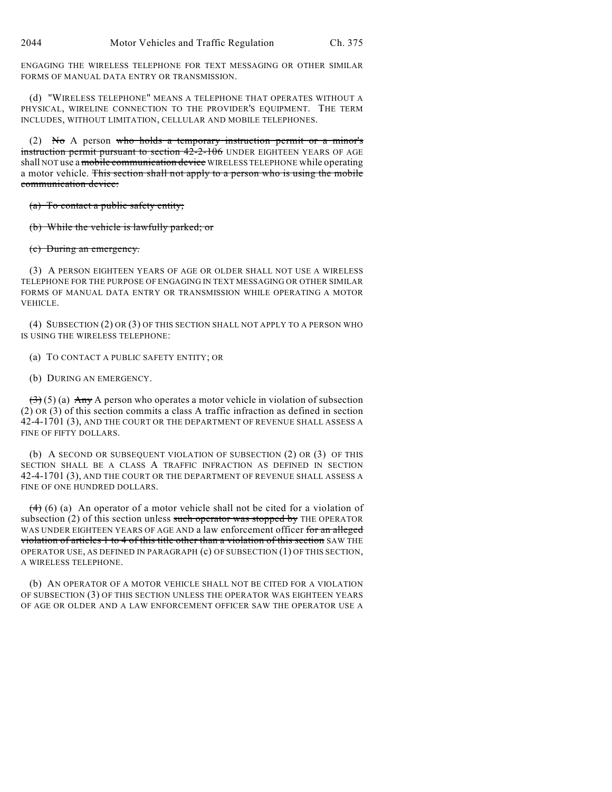ENGAGING THE WIRELESS TELEPHONE FOR TEXT MESSAGING OR OTHER SIMILAR FORMS OF MANUAL DATA ENTRY OR TRANSMISSION.

(d) "WIRELESS TELEPHONE" MEANS A TELEPHONE THAT OPERATES WITHOUT A PHYSICAL, WIRELINE CONNECTION TO THE PROVIDER'S EQUIPMENT. THE TERM INCLUDES, WITHOUT LIMITATION, CELLULAR AND MOBILE TELEPHONES.

(2) No A person who holds a temporary instruction permit or a minor's instruction permit pursuant to section 42-2-106 UNDER EIGHTEEN YEARS OF AGE shall NOT use a mobile communication device WIRELESS TELEPHONE while operating a motor vehicle. This section shall not apply to a person who is using the mobile communication device:

(a) To contact a public safety entity;

(b) While the vehicle is lawfully parked; or

(c) During an emergency.

(3) A PERSON EIGHTEEN YEARS OF AGE OR OLDER SHALL NOT USE A WIRELESS TELEPHONE FOR THE PURPOSE OF ENGAGING IN TEXT MESSAGING OR OTHER SIMILAR FORMS OF MANUAL DATA ENTRY OR TRANSMISSION WHILE OPERATING A MOTOR VEHICLE.

(4) SUBSECTION (2) OR (3) OF THIS SECTION SHALL NOT APPLY TO A PERSON WHO IS USING THE WIRELESS TELEPHONE:

(a) TO CONTACT A PUBLIC SAFETY ENTITY; OR

(b) DURING AN EMERGENCY.

 $(3)(5)$  (a) Any A person who operates a motor vehicle in violation of subsection (2) OR (3) of this section commits a class A traffic infraction as defined in section 42-4-1701 (3), AND THE COURT OR THE DEPARTMENT OF REVENUE SHALL ASSESS A FINE OF FIFTY DOLLARS.

(b) A SECOND OR SUBSEQUENT VIOLATION OF SUBSECTION (2) OR (3) OF THIS SECTION SHALL BE A CLASS A TRAFFIC INFRACTION AS DEFINED IN SECTION 42-4-1701 (3), AND THE COURT OR THE DEPARTMENT OF REVENUE SHALL ASSESS A FINE OF ONE HUNDRED DOLLARS.

 $(4)$  (6) (a) An operator of a motor vehicle shall not be cited for a violation of subsection  $(2)$  of this section unless such operator was stopped by THE OPERATOR WAS UNDER EIGHTEEN YEARS OF AGE AND a law enforcement officer for an alleged violation of articles 1 to 4 of this title other than a violation of this section SAW THE OPERATOR USE, AS DEFINED IN PARAGRAPH (c) OF SUBSECTION (1) OF THIS SECTION, A WIRELESS TELEPHONE.

(b) AN OPERATOR OF A MOTOR VEHICLE SHALL NOT BE CITED FOR A VIOLATION OF SUBSECTION (3) OF THIS SECTION UNLESS THE OPERATOR WAS EIGHTEEN YEARS OF AGE OR OLDER AND A LAW ENFORCEMENT OFFICER SAW THE OPERATOR USE A